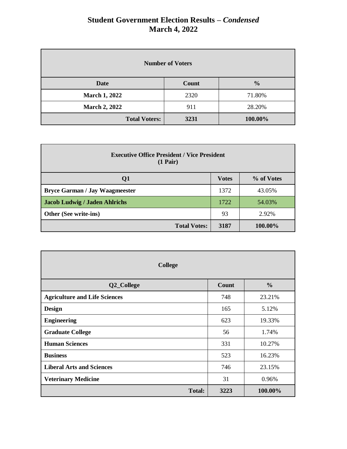| <b>Number of Voters</b> |       |               |  |
|-------------------------|-------|---------------|--|
| <b>Date</b>             | Count | $\frac{0}{0}$ |  |
| <b>March 1, 2022</b>    | 2320  | 71.80%        |  |
| <b>March 2, 2022</b>    | 911   | 28.20%        |  |
| <b>Total Voters:</b>    | 3231  | 100.00%       |  |

| <b>Executive Office President / Vice President</b><br>$(1 \text{ Pair})$ |      |         |  |  |
|--------------------------------------------------------------------------|------|---------|--|--|
| % of Votes<br><b>Votes</b><br>Q <sub>1</sub>                             |      |         |  |  |
| <b>Bryce Garman / Jay Waagmeester</b>                                    | 1372 | 43.05%  |  |  |
| <b>Jacob Ludwig / Jaden Ahlrichs</b>                                     | 1722 | 54.03%  |  |  |
| Other (See write-ins)                                                    | 93   | 2.92%   |  |  |
| <b>Total Votes:</b>                                                      | 3187 | 100.00% |  |  |

| <b>College</b>                       |       |               |  |  |
|--------------------------------------|-------|---------------|--|--|
| Q2_College                           | Count | $\frac{0}{0}$ |  |  |
| <b>Agriculture and Life Sciences</b> | 748   | 23.21%        |  |  |
| <b>Design</b>                        | 165   | 5.12%         |  |  |
| <b>Engineering</b>                   | 623   | 19.33%        |  |  |
| <b>Graduate College</b>              | 56    | 1.74%         |  |  |
| <b>Human Sciences</b>                | 331   | 10.27%        |  |  |
| <b>Business</b>                      | 523   | 16.23%        |  |  |
| <b>Liberal Arts and Sciences</b>     | 746   | 23.15%        |  |  |
| <b>Veterinary Medicine</b>           | 31    | 0.96%         |  |  |
| <b>Total:</b>                        | 3223  | 100.00%       |  |  |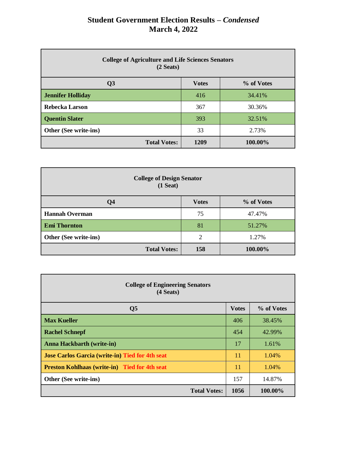| <b>College of Agriculture and Life Sciences Senators</b><br>(2 <b>Seats</b> ) |              |            |  |
|-------------------------------------------------------------------------------|--------------|------------|--|
| Q <sub>3</sub>                                                                | <b>Votes</b> | % of Votes |  |
| <b>Jennifer Holliday</b>                                                      | 416          | 34.41%     |  |
| Rebecka Larson                                                                | 367          | 30.36%     |  |
| <b>Quentin Slater</b>                                                         | 393          | 32.51%     |  |
| Other (See write-ins)                                                         | 33           | 2.73%      |  |
| <b>Total Votes:</b>                                                           | 1209         | 100.00%    |  |

| <b>College of Design Senator</b><br>$(1$ Seat) |                |            |  |
|------------------------------------------------|----------------|------------|--|
| Q <sub>4</sub>                                 | <b>Votes</b>   | % of Votes |  |
| <b>Hannah Overman</b>                          | 75             | 47.47%     |  |
| <b>Emi Thornton</b>                            | 81             | 51.27%     |  |
| Other (See write-ins)                          | $\overline{2}$ | 1.27%      |  |
| <b>Total Votes:</b>                            | 158            | 100.00%    |  |

| <b>College of Engineering Senators</b><br>(4 <b>Seats</b> ) |              |            |  |
|-------------------------------------------------------------|--------------|------------|--|
| Q <sub>5</sub>                                              | <b>Votes</b> | % of Votes |  |
| <b>Max Kueller</b>                                          | 406          | 38.45%     |  |
| <b>Rachel Schnepf</b>                                       | 454          | 42.99%     |  |
| <b>Anna Hackbarth (write-in)</b>                            | 17           | 1.61%      |  |
| <b>Jose Carlos Garcia (write-in) Tied for 4th seat</b>      | 11           | 1.04%      |  |
| <b>Preston Kohlhaas (write-in) Tied for 4th seat</b>        | 11           | 1.04%      |  |
| Other (See write-ins)                                       | 157          | 14.87%     |  |
| <b>Total Votes:</b>                                         | 1056         | 100.00%    |  |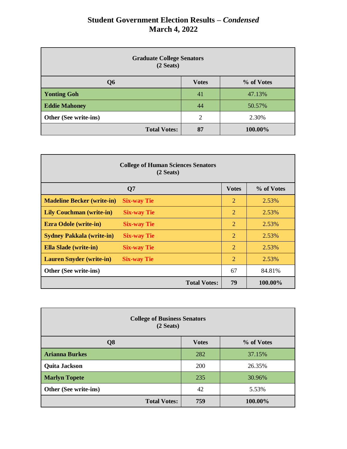| <b>Graduate College Senators</b><br>(2 <b>S eats</b> ) |              |            |  |
|--------------------------------------------------------|--------------|------------|--|
| Q <sub>6</sub>                                         | <b>Votes</b> | % of Votes |  |
| <b>Yonting Goh</b>                                     | 41           | 47.13%     |  |
| <b>Eddie Mahoney</b>                                   | 44           | 50.57%     |  |
| Other (See write-ins)                                  | 2            | 2.30%      |  |
| <b>Total Votes:</b>                                    | 87           | 100.00%    |  |

| <b>College of Human Sciences Senators</b><br>(2 <b>Seats</b> ) |                     |                |            |
|----------------------------------------------------------------|---------------------|----------------|------------|
|                                                                | Q7                  | <b>Votes</b>   | % of Votes |
| <b>Madeline Becker (write-in)</b>                              | <b>Six-way Tie</b>  | $\overline{2}$ | 2.53%      |
| <b>Lily Couchman (write-in)</b>                                | <b>Six-way Tie</b>  | $\overline{2}$ | 2.53%      |
| <b>Ezra Odole (write-in)</b>                                   | <b>Six-way Tie</b>  | $\overline{2}$ | 2.53%      |
| <b>Sydney Pakkala (write-in)</b>                               | <b>Six-way Tie</b>  | $\overline{2}$ | 2.53%      |
| <b>Ella Slade (write-in)</b>                                   | <b>Six-way Tie</b>  | $\overline{2}$ | 2.53%      |
| <b>Lauren Snyder (write-in)</b>                                | <b>Six-way Tie</b>  | $\overline{2}$ | 2.53%      |
| Other (See write-ins)                                          |                     | 67             | 84.81%     |
|                                                                | <b>Total Votes:</b> | 79             | 100.00%    |

| <b>College of Business Senators</b><br>(2 <b>S eats</b> ) |     |         |  |  |
|-----------------------------------------------------------|-----|---------|--|--|
| Q <sub>8</sub><br>% of Votes<br><b>Votes</b>              |     |         |  |  |
| <b>Arianna Burkes</b>                                     | 282 | 37.15%  |  |  |
| <b>Quita Jackson</b>                                      | 200 | 26.35%  |  |  |
| <b>Marlyn Topete</b>                                      | 235 | 30.96%  |  |  |
| Other (See write-ins)                                     | 42  | 5.53%   |  |  |
| <b>Total Votes:</b>                                       | 759 | 100.00% |  |  |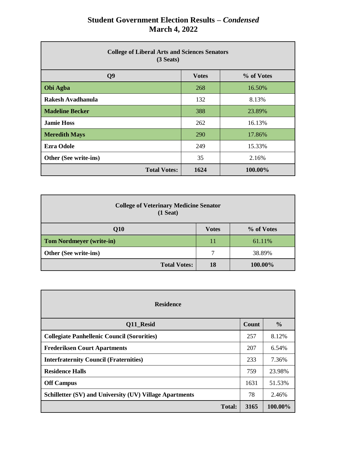| <b>College of Liberal Arts and Sciences Senators</b><br>(3 <b>Seats</b> ) |              |            |  |
|---------------------------------------------------------------------------|--------------|------------|--|
| Q <sub>9</sub>                                                            | <b>Votes</b> | % of Votes |  |
| Obi Agba                                                                  | 268          | 16.50%     |  |
| Rakesh Avadhanula                                                         | 132          | 8.13%      |  |
| <b>Madeline Becker</b>                                                    | 388          | 23.89%     |  |
| <b>Jamie Hoss</b>                                                         | 262          | 16.13%     |  |
| <b>Meredith Mays</b>                                                      | <b>290</b>   | 17.86%     |  |
| <b>Ezra Odole</b>                                                         | 249          | 15.33%     |  |
| Other (See write-ins)<br>35<br>2.16%                                      |              |            |  |
| <b>Total Votes:</b>                                                       | 1624         | 100.00%    |  |

| <b>College of Veterinary Medicine Senator</b><br>$(1$ Seat) |              |            |  |
|-------------------------------------------------------------|--------------|------------|--|
| Q10                                                         | <b>Votes</b> | % of Votes |  |
| <b>Tom Nordmeyer (write-in)</b>                             | 11           | 61.11%     |  |
| Other (See write-ins)                                       | 7            | 38.89%     |  |
| <b>Total Votes:</b>                                         | 18           | 100.00%    |  |

| <b>Residence</b>                                        |       |               |  |  |
|---------------------------------------------------------|-------|---------------|--|--|
| Q11 Resid                                               | Count | $\frac{6}{9}$ |  |  |
| <b>Collegiate Panhellenic Council (Sororities)</b>      | 257   | 8.12%         |  |  |
| <b>Frederiksen Court Apartments</b>                     | 207   | 6.54%         |  |  |
| <b>Interfraternity Council (Fraternities)</b>           | 233   | 7.36%         |  |  |
| <b>Residence Halls</b>                                  | 759   | 23.98%        |  |  |
| <b>Off Campus</b>                                       | 1631  | 51.53%        |  |  |
| Schilletter (SV) and University (UV) Village Apartments | 78    | 2.46%         |  |  |
| <b>Total:</b>                                           | 3165  | 100.00%       |  |  |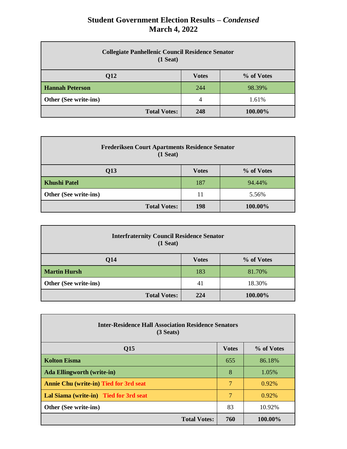| <b>Collegiate Panhellenic Council Residence Senator</b><br>$(1$ Seat) |                |            |
|-----------------------------------------------------------------------|----------------|------------|
| Q12                                                                   | <b>Votes</b>   | % of Votes |
| <b>Hannah Peterson</b>                                                | 244            | 98.39%     |
| Other (See write-ins)                                                 | $\overline{4}$ | 1.61%      |
| <b>Total Votes:</b>                                                   | 248            | 100.00%    |

| <b>Frederiksen Court Apartments Residence Senator</b><br>$(1$ Seat) |              |            |
|---------------------------------------------------------------------|--------------|------------|
| Q13                                                                 | <b>Votes</b> | % of Votes |
| <b>Khushi Patel</b>                                                 | 187          | 94.44%     |
| Other (See write-ins)                                               | 11           | 5.56%      |
| <b>Total Votes:</b>                                                 | 198          | 100.00%    |

| <b>Interfraternity Council Residence Senator</b><br>$(1$ Seat) |              |            |
|----------------------------------------------------------------|--------------|------------|
| Q14                                                            | <b>Votes</b> | % of Votes |
| <b>Martin Hursh</b>                                            | 183          | 81.70%     |
| Other (See write-ins)                                          | 41           | 18.30%     |
| <b>Total Votes:</b>                                            | 224          | 100.00%    |

| <b>Inter-Residence Hall Association Residence Senators</b><br>$(3$ Seats) |              |            |  |
|---------------------------------------------------------------------------|--------------|------------|--|
| Q15                                                                       | <b>Votes</b> | % of Votes |  |
| <b>Kolton Eisma</b>                                                       | 655          | 86.18%     |  |
| <b>Ada Ellingworth (write-in)</b>                                         | 8            | 1.05%      |  |
| <b>Annie Chu (write-in) Tied for 3rd seat</b>                             | 7            | $0.92\%$   |  |
| Lal Siama (write-in) Tied for 3rd seat                                    | 7            | $0.92\%$   |  |
| <b>Other (See write-ins)</b>                                              | 83           | 10.92%     |  |
| <b>Total Votes:</b>                                                       | 760          | 100.00%    |  |